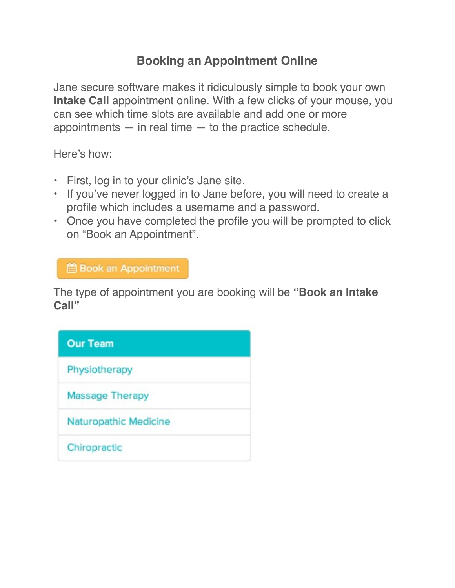## **Booking an Appointment Online**

Jane secure software makes it ridiculously simple to book your own **Intake Call** appointment online. With a few clicks of your mouse, you can see which time slots are available and add one or more appointments  $-$  in real time  $-$  to the practice schedule.

Here's how:

- First, log in to your clinic's Jane site.
- If you've never logged in to Jane before, you will need to create a profile which includes a username and a password.
- Once you have completed the profile you will be prompted to click on "Book an Appointment".

**Book an Appointment** 

The type of appointment you are booking will be **"Book an Intake Call"**

| <b>Our Team</b>       |  |
|-----------------------|--|
| Physiotherapy         |  |
| Massage Therapy       |  |
| Naturopathic Medicine |  |
| Chiropractic          |  |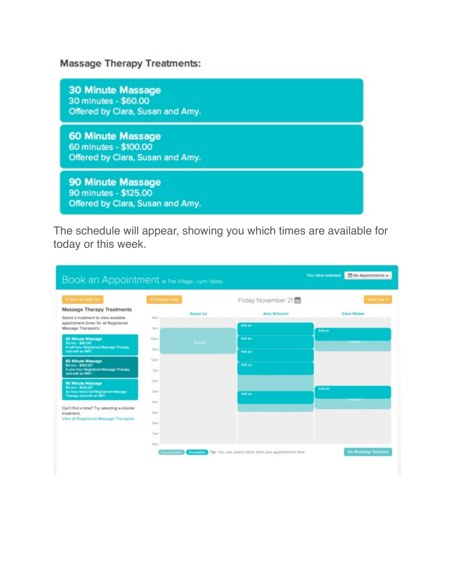## **Massage Therapy Treatments:**

**30 Minute Massage** 30 minutes - \$60.00 Offered by Clara, Susan and Amy.

**60 Minute Massage** 60 minutes - \$100.00 Offered by Clara, Susan and Amy.

90 Minute Massage 90 minutes - \$125.00 Offered by Clara, Susan and Amy.

The schedule will appear, showing you which times are available for today or this week.

| Book an Appointment at The Village - Lynn Valley                                          |                       |          |                    |             |
|-------------------------------------------------------------------------------------------|-----------------------|----------|--------------------|-------------|
| <b>C Back to Staff List</b>                                                               | <b>C</b> Previous Day |          | Friday November 21 | Next Day >  |
| <b>Massage Therapy Treatments</b>                                                         |                       | Susan Lo | Amy Schumm         | Clara Weber |
| Select a treatment to view available                                                      | <b>Barn</b>           |          |                    |             |
| appointment times for all Registered<br>Massage Therapist's:                              | Sam                   |          | 8:30 am            | 9:00 am     |
| <b>30 Minute Massage</b><br>30 min - \$60.00°                                             | 10am                  |          | 9:45 am            |             |
| A half hour Registered Massage Therapy<br>visit with an RMT.                              | tham                  |          | <b>1900 em</b>     |             |
| 60 Minute Massage<br>60 min - \$100.00*                                                   | 12pm                  |          | <b>Office</b>      |             |
| A one hour Registered Massage Therapy<br>visit with an RMT.                               | ton                   |          |                    |             |
| 90 Minute Massage                                                                         | Zon                   |          |                    |             |
| 90 min - \$125.00°<br>An hour and a half Registered Massage<br>Therapy visit with an RMT. | 3pm                   |          | 3:00 pm            | 3:30 pm     |
|                                                                                           | Aprn                  |          |                    |             |
| Can't find a time? Try selecting a shorter<br>treatment.                                  | Sprs.                 |          |                    |             |
| View all Registered Massage Therapists                                                    | 6pm                   |          |                    |             |
|                                                                                           | T <sub>0</sub>        |          |                    |             |
|                                                                                           | Bom                   |          |                    |             |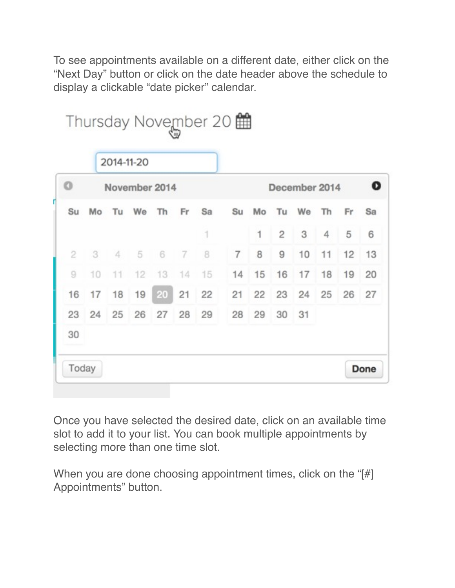To see appointments available on a different date, either click on the "Next Day" button or click on the date header above the schedule to display a clickable "date picker" calendar.

|                    |    |    | 2014-11-20 |      |       |    |                |               |    |       |    |    |    |  |
|--------------------|----|----|------------|------|-------|----|----------------|---------------|----|-------|----|----|----|--|
| o<br>November 2014 |    |    |            |      |       |    |                | December 2014 |    |       |    |    |    |  |
| Su                 | Mo | Tu | We         | Th   | Fr    | Sa | Su             | Mo            | Tu | We    | Th | Fr | Sa |  |
|                    |    |    |            |      |       | 1  |                | 1             | 2  | 3     | 4  | 5  | 6  |  |
| 2                  | 3  | 4  | 5          | $-6$ | $\,7$ | 8  | $\overline{7}$ | 8             | 9  | 10    | 11 | 12 | 13 |  |
| 9                  | 10 | 11 | 12         | 13   | 14    | 15 | 14             | 15            | 16 | 17    | 18 | 19 | 20 |  |
| 16                 | 17 | 18 | 19         | 20   | 21    | 22 | 21             | 22            |    | 23 24 | 25 | 26 | 27 |  |
| 23                 | 24 | 25 | 26         | 27   | 28    | 29 | 28             | 29            | 30 | 31    |    |    |    |  |
| 30                 |    |    |            |      |       |    |                |               |    |       |    |    |    |  |

Once you have selected the desired date, click on an available time slot to add it to your list. You can book multiple appointments by selecting more than one time slot.

When you are done choosing appointment times, click on the "[#] Appointments" button.